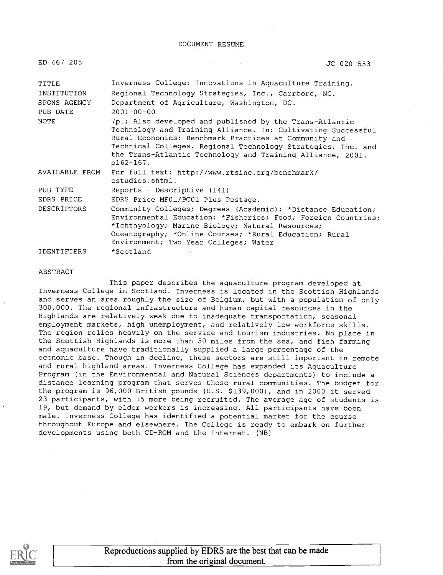#### DOCUMENT RESUME

| ED 467 205               | JC 020 553                                                                                                                                                                                                                                                                                                                  |
|--------------------------|-----------------------------------------------------------------------------------------------------------------------------------------------------------------------------------------------------------------------------------------------------------------------------------------------------------------------------|
| TITLE                    | Inverness College: Innovations in Aquaculture Training.                                                                                                                                                                                                                                                                     |
| INSTITUTION              | Regional Technology Strategies, Inc., Carrboro, NC.                                                                                                                                                                                                                                                                         |
| SPONS AGENCY<br>PUB DATE | Department of Agriculture, Washington, DC.<br>$2001 - 00 - 00$                                                                                                                                                                                                                                                              |
| NOTE                     | 7p.; Also developed and published by the Trans-Atlantic<br>Technology and Training Alliance. In: Cultivating Successful<br>Rural Economics: Benchmark Practices at Community and<br>Technical Colleges. Regional Technology Strategies, Inc. and<br>the Trans-Atlantic Technology and Training Alliance, 2001.<br>p162-167. |
| AVAILABLE FROM           | For full text: http://www.rtsinc.org/benchmark/<br>cstudies.shtml.                                                                                                                                                                                                                                                          |
| PUB TYPE                 | Reports - Descriptive (141)                                                                                                                                                                                                                                                                                                 |
| EDRS PRICE               | EDRS Price MF01/PC01 Plus Postage.                                                                                                                                                                                                                                                                                          |
| <b>DESCRIPTORS</b>       | Community Colleges; Degrees (Academic); *Distance Education;<br>Environmental Education; *Fisheries; Food; Foreign Countries;<br>*Ichthyology; Marine Biology; Natural Resources;<br>Oceanography; *Online Courses; *Rural Education; Rural<br>Environment; Two Year Colleges; Water                                        |
| IDENTIFIERS              | *Scotland                                                                                                                                                                                                                                                                                                                   |

#### ABSTRACT

This paper describes the aquaculture program developed at Inverness College in Scotland. Inverness is located in the Scottish Highlands and serves an area roughly the size of Belgium, but with a population of only 300,000. The regional infrastructure and human capital resources in the Highlands are relatively weak due to inadequate transportation, seasonal employment markets, high unemployment, and relatively low workforce skills. The region relies heavily on the service and tourism industries. No place in the Scottish Highlands is more than 50 miles from the sea, and fish farming and aquaculture have traditionally supplied a large percentage of the economic base. Though in decline, these sectors are still important in remote and rural highland areas. Inverness College has expanded its Aquaculture Program (in the Environmental and Natural Sciences departments) to include a distance learning program that serves these rural communities. The budget for the program is 96,000 British pounds (U.S. \$139,000), and in 2000 it served 23 participants, with 15 more being recruited. The average age of students is 19, but demand by older workers is increasing. All participants have been male. Inverness College has identified a potential market for the course throughout Europe and elsewhere. The College is ready to embark on further developments using both CD-ROM and the Internet. (NB)

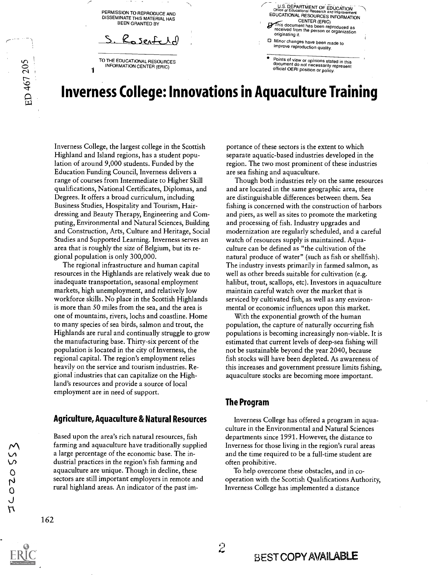PERMISSION TO REPRODUCE AND DISSEMINATE THIS MATERIAL HAS BEEN GRANTED BY

Rosenfeld

TO THE EDUCATIONAL RESOURCES INFORMATION CENTER (ERIC)

1

ED 467 205

U.S. DEPARTMENT OF EDUCATION EDUCATIONAL RESOURCES INFORMATION<br>CENTER (ERIC) CENTER (ERIC) his document has been reproduced as received from the person or organization originating it.

Minor changes have been made to improve reproduction quality.

Points of view or opinions stated in this document do not necessarily represent<br>official OERI position or policy.

## Inverness College: Innovations in Aquaculture Training

Inverness College, the largest college in the Scottish Highland and Island regions, has a student population of around 9,000 students. Funded by the Education Funding Council, Inverness delivers a range of courses from Intermediate to Higher Skill qualifications, National Certificates, Diplomas, and Degrees. It offers a broad curriculum, including Business Studies, Hospitality and Tourism, Hairdressing and Beauty Therapy, Engineering and Computing, Environmental and Natural Sciences, Building and Construction, Arts, Culture and Heritage, Social Studies and Supported Learning. Inverness serves an area that is roughly the size of Belgium, but its regional population is only 300,000.

The regional infrastructure and human capital resources in the Highlands are relatively weak due to inadequate transportation, seasonal employment markets, high unemployment, and relatively low workforce skills. No place in the Scottish Highlands is more than 50 miles from the sea, and the area is one of mountains, rivers, lochs and coastline. Home to many species of sea birds, salmon and trout, the Highlands are rural and continually struggle to grow the manufacturing base. Thirty-six percent of the population is located in the city of Inverness, the regional capital. The region's employment relies heavily on the service and tourism industries. Regional industries that can capitalize on the Highland's resources and provide a source of local employment are in need of support.

## Agriculture, Aquaculture & Natural Resources

Based upon the area's rich natural resources, fish farming and aquaculture have traditionally supplied a large percentage of the economic base. The industrial practices in the region's fish farming and aquaculture are unique. Though in decline, these sectors are still important employers in remote and rural highland areas. An indicator of the past importance of these sectors is the extent to which separate aquatic-based industries developed in the region. The two most prominent of these industries are sea fishing and aquaculture.

Though both industries rely on the same resources and are located in the same geographic area, there are distinguishable differences between them. Sea fishing is concerned with the construction of harbors and piers, as well as sites to promote the marketing and processing of fish. Industry upgrades and modernization are regularly scheduled, and a careful watch of resources supply is maintained. Aquaculture can be defined as "the cultivation of the natural produce of water" (such as fish or shellfish). The industry invests primarily in farmed salmon, as well as other breeds suitable for cultivation (e.g. halibut, trout, scallops, etc). Investors in aquaculture maintain careful watch over the market that is serviced by cultivated fish, as well as any environmental or economic influences upon this market.

With the exponential growth of the human population, the capture of naturally occurring fish populations is becoming increasingly non-viable. It is estimated that current levels of deep-sea fishing will not be sustainable beyond the year 2040, because fish stocks will have been depleted. As awareness of this increases and government pressure limits fishing, aquaculture stocks are becoming more important.

### The Program

Inverness College has offered a program in aquaculture in the Environmental and Natural Sciences departments since 1991. However, the distance to Inverness for those living in the region's rural areas and the time required to be a full-time student are often prohibitive.

To help overcome these obstacles, and in cooperation with the Scottish Qualifications Authority, Inverness College has implemented a distance



 $55020$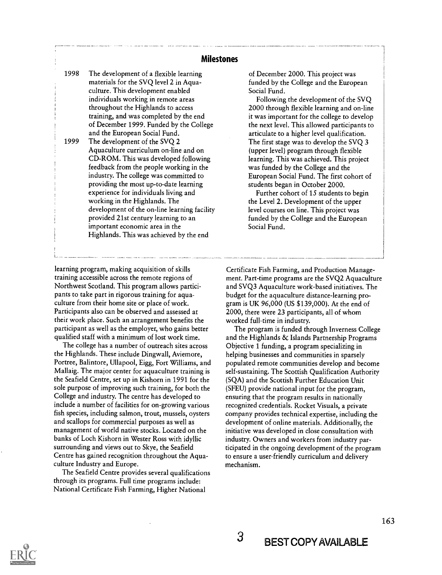#### Milestones

1998 The development of a flexible learning materials for the SVQ level 2 in Aquaculture. This development enabled individuals working in remote areas throughout the Highlands to access training, and was completed by the end of December 1999. Funded by the College and the European Social Fund.

1999 The development of the SVQ 2 Aquaculture curriculum on-line and on CD-ROM. This was developed following feedback from the people working in the industry. The college was committed to providing the most up-to-date learning experience for individuals living and working in the Highlands. The development of the on-line learning facility provided 21st century learning to an important economic area in the Highlands. This was achieved by the end

learning program, making acquisition of skills training accessible across the remote regions of Northwest Scotland. This program allows participants to take part in rigorous training for aquaculture from their home site or place of work. Participants also can be observed and assessed at their work place. Such an arrangement benefits the participant as well as the employer, who gains better qualified staff with a minimum of lost work time.

The college has a number of outreach sites across the Highlands. These include Dingwall, Aviemore, Portree, Balintore, Ullapool, Eigg, Fort Williams, and Mallaig. The major center for aquaculture training is the Seafield Centre, set up in Kishorn in 1991 for the sole purpose of improving such training, for both the College and industry. The centre has developed to include a number of facilities for on-growing various fish species, including salmon, trout, mussels, oysters and scallops for commercial purposes as well as management of world native stocks. Located on the banks of Loch Kishorn in Wester Ross with idyllic surrounding and views out to Skye, the Seafield Centre has gained recognition throughout the Aquaculture Industry and Europe.

The Seafield Centre provides several qualifications through its programs. Full time programs include: National Certificate Fish Farming, Higher National

of December 2000. This project was funded by the College and the European Social Fund.

Following the development of the SVQ 2000 through flexible learning and on-line it was important for the college to develop the next level. This allowed participants to articulate to a higher level qualification. The first stage was to develop the SVQ 3 (upper level) program through flexible learning. This was achieved. This project was funded by the College and the European Social Fund. The first cohort of students began in October 2000.

Further cohort of 15 students to begin the Level 2. Development of the upper level courses on line. This project was funded by the College and the European Social Fund.

Certificate Fish Farming, and Production Management. Part-time programs are the SVQ2 Aquaculture and SVQ3 Aquaculture work-based initiatives. The budget for the aquaculture distance-learning program is UK 96,000 (US \$139,000). At the end of 2000, there were 23 participants, all of whom worked full-time in industry.

The program is funded through Inverness College and the Highlands & Islands Partnership Programs Objective 1 funding, a program specializing in helping businesses and communities in sparsely populated remote communities develop and become self-sustaining. The Scottish Qualification Authority (SQA) and the Scottish Further Education Unit (SFEU) provide national input for the program, ensuring that the program results in nationally recognized credentials. Rocket Visuals, a private company provides technical expertise, including the development of online materials. Additionally, the initiative was developed in close consultation with industry. Owners and workers from industry participated in the ongoing development of the program to ensure a user-friendly curriculum and delivery mechanism.



163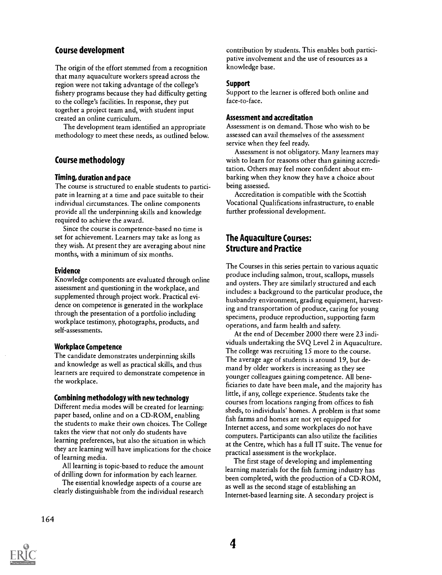## Course development

The origin of the effort stemmed from a recognition that many aquaculture workers spread across the region were not taking advantage of the college's fishery programs because they had difficulty getting to the college's facilities. In response, they put together a project team and, with student input created an online curriculum.

The development team identified an appropriate methodology to meet these needs, as outlined below.

## Course methodology

#### Timing, duration and pace

The course is structured to enable students to participate in learning at a time and pace suitable to their individual circumstances. The online components provide all the underpinning skills and knowledge required to achieve the award.

Since the course is competence-based no time is set for achievement. Learners may take as long as they wish. At present they are averaging about nine months, with a minimum of six months.

#### Evidence

Knowledge components are evaluated through online assessment and questioning in the workplace, and supplemented through project work. Practical evidence on competence is generated in the workplace through the presentation of a portfolio including workplace testimony, photographs, products, and self-assessments.

#### Workplace Competence

The candidate demonstrates underpinning skills and knowledge as well as practical skills, and thus learners are required to demonstrate competence in the workplace.

#### Combining methodology with new technology

Different media modes will be created for learning: paper based, online and on a CD-ROM, enabling the students to make their own choices. The College takes the view that not only do students have learning preferences, but also the situation in which they are learning will have implications for the choice of learning media.

All learning is topic-based to reduce the amount of drilling down for information by each learner.

The essential knowledge aspects of a course are clearly distinguishable from the individual research

contribution by students. This enables both participative involvement and the use of resources as a knowledge base.

#### Support

Support to the learner is offered both online and face-to-face.

#### Assessment and accreditation

Assessment is on demand. Those who wish to be assessed can avail themselves of the assessment service when they feel ready.

Assessment is not obligatory. Many learners may wish to learn for reasons other than gaining accreditation. Others may feel more confident about embarking when they know they have a choice about being assessed.

Accreditation is compatible with the Scottish Vocational Qualifications infrastructure, to enable further professional development.

## The Aquaculture Courses: Structure and Practice

The Courses in this series pertain to various aquatic produce including salmon, trout, scallops, mussels and oysters. They are similarly structured and each includes: a background to the particular produce, the husbandry environment, grading equipment, harvesting and transportation of produce, caring for young specimens, produce reproduction, supporting farm operations, and farm health and safety.

At the end of December 2000 there were 23 individuals undertaking the SVQ Level 2 in Aquaculture. The college was recruiting 15 more to the course. The average age of students is around 19, but demand by older workers is increasing as they see younger colleagues gaining competence. All beneficiaries to date have been male, and the majority has little, if any, college experience. Students take the courses from locations ranging from offices to fish sheds, to individuals' homes. A problem is that some fish farms and homes are not yet equipped for Internet access, and some workplaces do not have computers. Participants can also utilize the facilities at the Centre, which has a full IT suite. The venue for practical assessment is the workplace.

The first stage of developing and implementing learning materials for the fish farming industry has been completed, with the production of a CD-ROM, as well as the second stage of establishing an Internet-based learning site. A secondary project is



164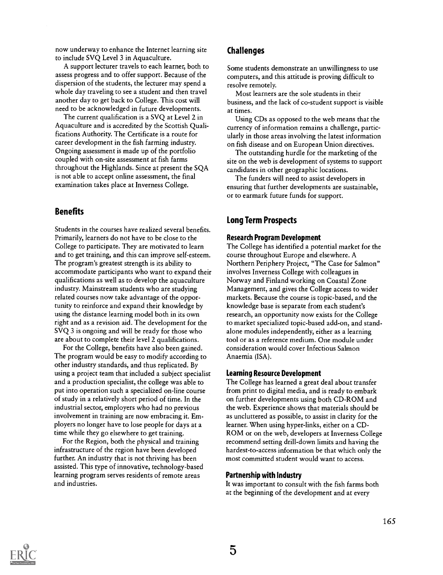now underway to enhance the Internet learning site to include SVQ Level 3 in Aquaculture.

A support lecturer travels to each learner, both to assess progress and to offer support. Because of the dispersion of the students, the lecturer may spend a whole day traveling to see a student and then travel another day to get back to College. This cost will need to be acknowledged in future developments.

The current qualification is a SVQ at Level 2 in Aquaculture and is accredited by the Scottish Qualifications Authority. The Certificate is a route for career development in the fish farming industry. Ongoing assessment is made up of the portfolio coupled with on-site assessment at fish farms throughout the Highlands. Since at present the SQA is not able to accept online assessment, the final examination takes place at Inverness College.

## **Benefits**

Students in the courses have realized several benefits. Primarily, learners do not have to be close to the College to participate. They are motivated to learn and to get training, and this can improve self-esteem. The program's greatest strength is its ability to accommodate participants who want to expand their qualifications as well as to develop the aquaculture industry. Mainstream students who are studying related courses now take advantage of the opportunity to reinforce and expand their knowledge by using the distance learning model both in its own right and as a revision aid. The development for the SVQ 3 is ongoing and will be ready for those who are about to complete their level 2 qualifications.

For the College, benefits have also been gained. The program would be easy to modify according to other industry standards, and thus replicated. By using a project team that included a subject specialist and a production specialist, the college was able to put into operation such a specialized on-line course of study in a relatively short period of time. In the industrial sector, employers who had no previous involvement in training are now embracing it. Employers no longer have to lose people for days at a time while they go elsewhere to get training.

For the Region, both the physical and training infrastructure of the region have been developed further. An industry that is not thriving has been assisted. This type of innovative, technology-based learning program serves residents of remote areas and industries.

#### Challenges

Some students demonstrate an unwillingness to use computers, and this attitude is proving difficult to resolve remotely.

Most learners are the sole students in their business, and the lack of co-student support is visible at times.

Using CDs as opposed to the web means that the currency of information remains a challenge, particularly in those areas involving the latest information on fish disease and on European Union directives.

The outstanding hurdle for the marketing of the site on the web is development of systems to support candidates in other geographic locations.

The funders will need to assist developers in ensuring that further developments are sustainable, or to earmark future funds for support.

## Long Term Prospects

#### Research Program Development

The College has identified a potential market for the course throughout Europe and elsewhere. A Northern Periphery Project, "The Case for Salmon" involves Inverness College with colleagues in Norway and Finland working on Coastal Zone Management, and gives the College access to wider markets. Because the course is topic-based, and the knowledge base is separate from each student's research, an opportunity now exists for the College to market specialized topic-based add-on, and standalone modules independently, either as a learning tool or as a reference medium. One module under consideration would cover Infectious Salmon Anaemia (ISA).

#### Learning Resource Development

The College has learned a great deal about transfer from print to digital media, and is ready to embark on further developments using both CD-ROM and the web. Experience shows that materials should be as uncluttered as possible, to assist in clarity for the learner. When using hyper-links, either on a CD-ROM or on the web, developers at Inverness College recommend setting drill-down limits and having the hardest-to-access information be that which only the most committed student would want to access.

#### Partnership with Industry

It was important to consult with the fish farms both at the beginning of the development and at every

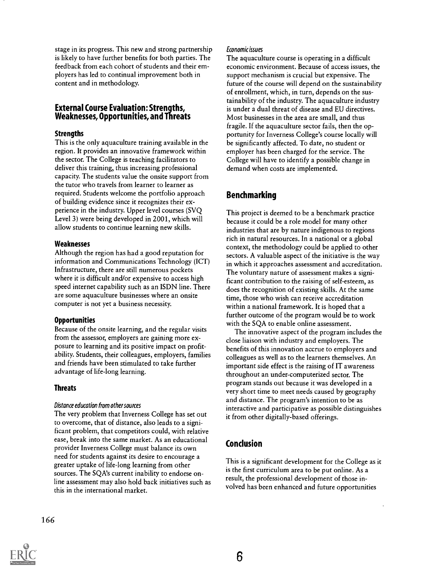stage in its progress. This new and strong partnership is likely to have further benefits for both parties. The feedback from each cohort of students and their employers has led to continual improvement both in content and in methodology.

## External Course Evaluation: Strengths, Weaknesses, Opportunities, and Threats

#### **Strengths**

This is the only aquaculture training available in the region. It provides an innovative framework within the sector. The College is teaching facilitators to deliver this training, thus increasing professional capacity. The students value the onsite support from the tutor who travels from learner to learner as required. Students welcome the portfolio approach of building evidence since it recognizes their experience in the industry. Upper level courses (SVQ Level 3) were being developed in 2001, which will allow students to continue learning new skills.

#### Weaknesses

Although the region has had a good reputation for information and Communications Technology (ICT) Infrastructure, there are still numerous pockets where it is difficult and/or expensive to access high speed internet capability such as an ISDN line. There are some aquaculture businesses where an onsite computer is not yet a business necessity.

### **Opportunities**

Because of the onsite learning, and the regular visits from the assessor, employers are gaining more exposure to learning and its positive impact on profitability. Students, their colleagues, employers, families and friends have been stimulated to take further advantage of life-long learning.

### Threats

### Distance education from other sources

The very problem that Inverness College has set out to overcome, that of distance, also leads to a significant problem, that competitors could, with relative ease, break into the same market. As an educational provider Inverness College must balance its own need for students against its desire to encourage a greater uptake of life-long learning from other sources. The SQA's current inability to endorse online assessment may also hold back initiatives such as this in the international market.

#### Economic issues

The aquaculture course is operating in a difficult economic environment. Because of access issues, the support mechanism is crucial but expensive. The future of the course will depend on the sustainability of enrollment, which, in turn, depends on the sustainability of the industry. The aquaculture industry is under a dual threat of disease and EU directives. Most businesses in the area are small, and thus fragile. If the aquaculture sector fails, then the opportunity for Inverness College's course locally will be significantly affected. To date, no student or employer has been charged for the service. The College will have to identify a possible change in demand when costs are implemented.

## Benchmarking

This project is deemed to be a benchmark practice because it could be a role model for many other industries that are by nature indigenous to regions rich in natural resources. In a national or a global context, the methodology could be applied to other sectors. A valuable aspect of the initiative is the way in which it approaches assessment and accreditation. The voluntary nature of assessment makes a significant contribution to the raising of self-esteem, as does the recognition of existing skills. At the same time, those who wish can receive accreditation within a national framework. It is hoped that a further outcome of the program would be to work with the SQA to enable online assessment.

The innovative aspect of the program includes the close liaison with industry and employers. The benefits of this innovation accrue to employers and colleagues as well as to the learners themselves. An important side effect is the raising of IT awareness throughout an under-computerized sector. The program stands out because it was developed in a very short time to meet needs caused by geography and distance. The program's intention to be as interactive and participative as possible distinguishes it from other digitally-based offerings.

## Conclusion

This is a significant development for the College as it is the first curriculum area to be put online. As a result, the professional development of those involved has been enhanced and future opportunities

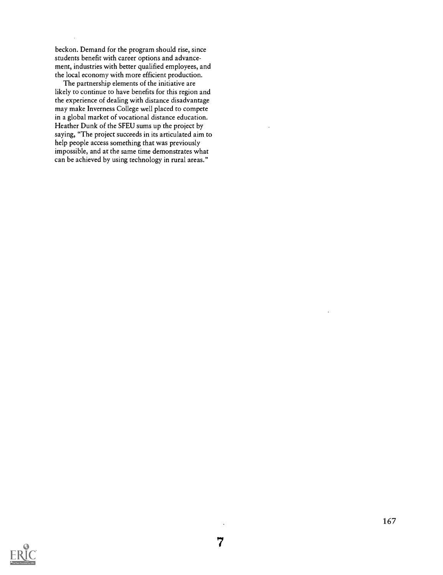beckon. Demand for the program should rise, since students benefit with career options and advancement, industries with better qualified employees, and the local economy with more efficient production.

The partnership elements of the initiative are likely to continue to have benefits for this region and the experience of dealing with distance disadvantage may make Inverness College well placed to compete in a global market of vocational distance education. Heather Dunk of the SFEU sums up the project by saying, "The project succeeds in its articulated aim to help people access something that was previously impossible, and at the same time demonstrates what can be achieved by using technology in rural areas."